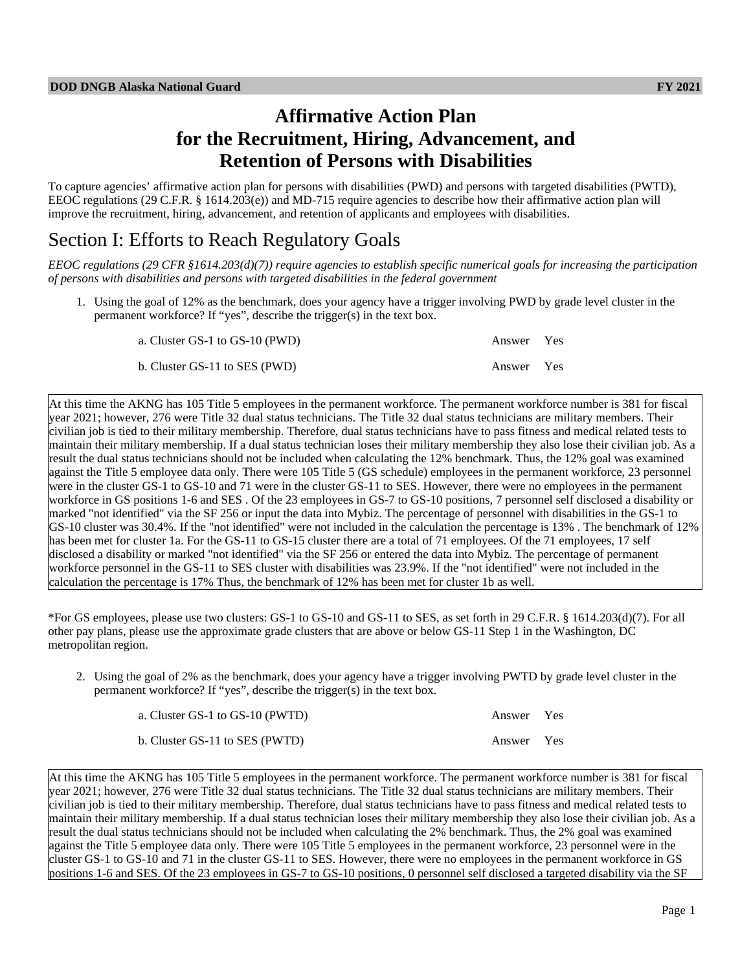# **Affirmative Action Plan for the Recruitment, Hiring, Advancement, and Retention of Persons with Disabilities**

To capture agencies' affirmative action plan for persons with disabilities (PWD) and persons with targeted disabilities (PWTD), EEOC regulations (29 C.F.R. § 1614.203(e)) and MD-715 require agencies to describe how their affirmative action plan will improve the recruitment, hiring, advancement, and retention of applicants and employees with disabilities.

# Section I: Efforts to Reach Regulatory Goals

*EEOC regulations (29 CFR §1614.203(d)(7)) require agencies to establish specific numerical goals for increasing the participation of persons with disabilities and persons with targeted disabilities in the federal government*

1. Using the goal of 12% as the benchmark, does your agency have a trigger involving PWD by grade level cluster in the permanent workforce? If "yes", describe the trigger(s) in the text box.

| a. Cluster GS-1 to GS-10 (PWD) | Answer Yes |  |
|--------------------------------|------------|--|
| b. Cluster GS-11 to SES (PWD)  | Answer Yes |  |

At this time the AKNG has 105 Title 5 employees in the permanent workforce. The permanent workforce number is 381 for fiscal year 2021; however, 276 were Title 32 dual status technicians. The Title 32 dual status technicians are military members. Their civilian job is tied to their military membership. Therefore, dual status technicians have to pass fitness and medical related tests to maintain their military membership. If a dual status technician loses their military membership they also lose their civilian job. As a result the dual status technicians should not be included when calculating the 12% benchmark. Thus, the 12% goal was examined against the Title 5 employee data only. There were 105 Title 5 (GS schedule) employees in the permanent workforce, 23 personnel were in the cluster GS-1 to GS-10 and 71 were in the cluster GS-11 to SES. However, there were no employees in the permanent workforce in GS positions 1-6 and SES . Of the 23 employees in GS-7 to GS-10 positions, 7 personnel self disclosed a disability or marked "not identified" via the SF 256 or input the data into Mybiz. The percentage of personnel with disabilities in the GS-1 to GS-10 cluster was 30.4%. If the "not identified" were not included in the calculation the percentage is 13% . The benchmark of 12% has been met for cluster 1a. For the GS-11 to GS-15 cluster there are a total of 71 employees. Of the 71 employees, 17 self disclosed a disability or marked "not identified" via the SF 256 or entered the data into Mybiz. The percentage of permanent workforce personnel in the GS-11 to SES cluster with disabilities was 23.9%. If the "not identified" were not included in the calculation the percentage is 17% Thus, the benchmark of 12% has been met for cluster 1b as well.

\*For GS employees, please use two clusters: GS-1 to GS-10 and GS-11 to SES, as set forth in 29 C.F.R. § 1614.203(d)(7). For all other pay plans, please use the approximate grade clusters that are above or below GS-11 Step 1 in the Washington, DC metropolitan region.

2. Using the goal of 2% as the benchmark, does your agency have a trigger involving PWTD by grade level cluster in the permanent workforce? If "yes", describe the trigger(s) in the text box.

| a. Cluster GS-1 to GS-10 (PWTD) | Answer Yes |  |
|---------------------------------|------------|--|
| b. Cluster GS-11 to SES (PWTD)  | Answer Yes |  |

At this time the AKNG has 105 Title 5 employees in the permanent workforce. The permanent workforce number is 381 for fiscal year 2021; however, 276 were Title 32 dual status technicians. The Title 32 dual status technicians are military members. Their civilian job is tied to their military membership. Therefore, dual status technicians have to pass fitness and medical related tests to maintain their military membership. If a dual status technician loses their military membership they also lose their civilian job. As a result the dual status technicians should not be included when calculating the 2% benchmark. Thus, the 2% goal was examined against the Title 5 employee data only. There were 105 Title 5 employees in the permanent workforce, 23 personnel were in the cluster GS-1 to GS-10 and 71 in the cluster GS-11 to SES. However, there were no employees in the permanent workforce in GS positions 1-6 and SES. Of the 23 employees in GS-7 to GS-10 positions, 0 personnel self disclosed a targeted disability via the SF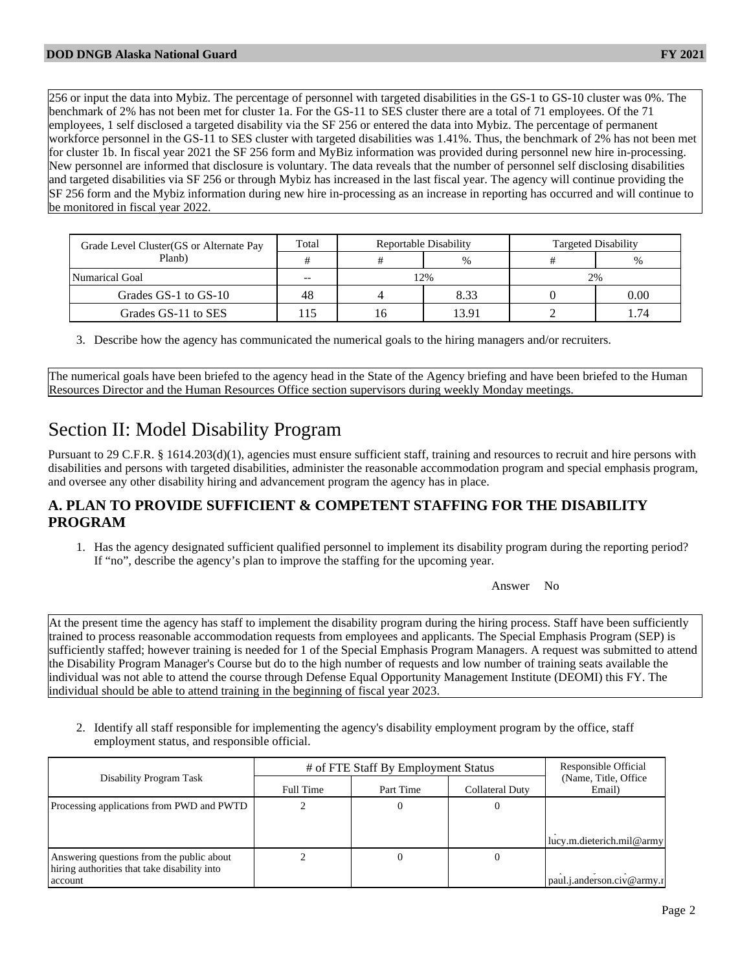256 or input the data into Mybiz. The percentage of personnel with targeted disabilities in the GS-1 to GS-10 cluster was 0%. The benchmark of 2% has not been met for cluster 1a. For the GS-11 to SES cluster there are a total of 71 employees. Of the 71 employees, 1 self disclosed a targeted disability via the SF 256 or entered the data into Mybiz. The percentage of permanent workforce personnel in the GS-11 to SES cluster with targeted disabilities was 1.41%. Thus, the benchmark of 2% has not been met for cluster 1b. In fiscal year 2021 the SF 256 form and MyBiz information was provided during personnel new hire in-processing. New personnel are informed that disclosure is voluntary. The data reveals that the number of personnel self disclosing disabilities and targeted disabilities via SF 256 or through Mybiz has increased in the last fiscal year. The agency will continue providing the SF 256 form and the Mybiz information during new hire in-processing as an increase in reporting has occurred and will continue to be monitored in fiscal year 2022.

| Grade Level Cluster (GS or Alternate Pay | Total | Reportable Disability |       | <b>Targeted Disability</b> |          |
|------------------------------------------|-------|-----------------------|-------|----------------------------|----------|
| Planb)                                   |       |                       | $\%$  |                            | $\%$     |
| Numarical Goal                           | $- -$ | 12%                   |       |                            | 2%       |
| Grades GS-1 to GS-10                     | 48    |                       | 8.33  |                            | $0.00\,$ |
| Grades GS-11 to SES                      |       | L0                    | 13.91 |                            | .74      |

3. Describe how the agency has communicated the numerical goals to the hiring managers and/or recruiters.

The numerical goals have been briefed to the agency head in the State of the Agency briefing and have been briefed to the Human Resources Director and the Human Resources Office section supervisors during weekly Monday meetings.

# Section II: Model Disability Program

Pursuant to 29 C.F.R. § 1614.203(d)(1), agencies must ensure sufficient staff, training and resources to recruit and hire persons with disabilities and persons with targeted disabilities, administer the reasonable accommodation program and special emphasis program, and oversee any other disability hiring and advancement program the agency has in place.

## **A. PLAN TO PROVIDE SUFFICIENT & COMPETENT STAFFING FOR THE DISABILITY PROGRAM**

1. Has the agency designated sufficient qualified personnel to implement its disability program during the reporting period? If "no", describe the agency's plan to improve the staffing for the upcoming year.

Answer No

At the present time the agency has staff to implement the disability program during the hiring process. Staff have been sufficiently trained to process reasonable accommodation requests from employees and applicants. The Special Emphasis Program (SEP) is sufficiently staffed; however training is needed for 1 of the Special Emphasis Program Managers. A request was submitted to attend the Disability Program Manager's Course but do to the high number of requests and low number of training seats available the individual was not able to attend the course through Defense Equal Opportunity Management Institute (DEOMI) this FY. The individual should be able to attend training in the beginning of fiscal year 2023.

2. Identify all staff responsible for implementing the agency's disability employment program by the office, staff employment status, and responsible official.

|                                                         | # of FTE Staff By Employment Status | Responsible Official |                 |                                 |
|---------------------------------------------------------|-------------------------------------|----------------------|-----------------|---------------------------------|
| Disability Program Task                                 | Full Time                           | Part Time            | Collateral Duty | (Name, Title, Office)<br>Email) |
| Processing applications from PWD and PWTD               |                                     |                      |                 | lucy.m.dieterich.mil@army       |
| Answering questions from the public about               |                                     |                      |                 |                                 |
| hiring authorities that take disability into<br>account |                                     |                      |                 | $ $ paul.j.anderson.civ@army.i  |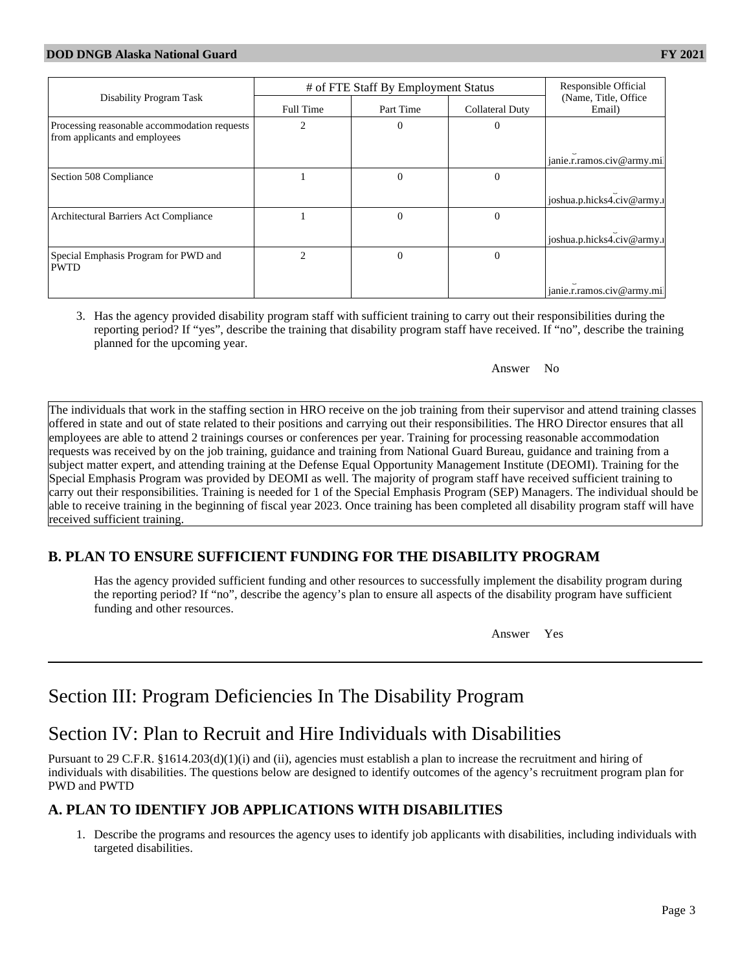|                                                                               | # of FTE Staff By Employment Status |           |                 | Responsible Official            |  |
|-------------------------------------------------------------------------------|-------------------------------------|-----------|-----------------|---------------------------------|--|
| Disability Program Task                                                       | Full Time                           | Part Time | Collateral Duty | (Name, Title, Office)<br>Email) |  |
| Processing reasonable accommodation requests<br>from applicants and employees | $\mathfrak{D}$                      | $\Omega$  | $\Omega$        |                                 |  |
|                                                                               |                                     |           |                 | janie.r.ramos.civ@army.mi       |  |
| Section 508 Compliance                                                        |                                     | $\Omega$  | $\Omega$        |                                 |  |
|                                                                               |                                     |           |                 | joshua.p.hicks4.civ@army.       |  |
| Architectural Barriers Act Compliance                                         |                                     | $\theta$  | $\Omega$        |                                 |  |
|                                                                               |                                     |           |                 | joshua.p.hicks4.civ@army.       |  |
| Special Emphasis Program for PWD and<br><b>PWTD</b>                           | $\mathfrak{D}$                      | $\theta$  | $\theta$        |                                 |  |
|                                                                               |                                     |           |                 | janie.r.ramos.civ@army.mi       |  |

3. Has the agency provided disability program staff with sufficient training to carry out their responsibilities during the reporting period? If "yes", describe the training that disability program staff have received. If "no", describe the training planned for the upcoming year.

#### Answer No

The individuals that work in the staffing section in HRO receive on the job training from their supervisor and attend training classes offered in state and out of state related to their positions and carrying out their responsibilities. The HRO Director ensures that all employees are able to attend 2 trainings courses or conferences per year. Training for processing reasonable accommodation requests was received by on the job training, guidance and training from National Guard Bureau, guidance and training from a subject matter expert, and attending training at the Defense Equal Opportunity Management Institute (DEOMI). Training for the Special Emphasis Program was provided by DEOMI as well. The majority of program staff have received sufficient training to carry out their responsibilities. Training is needed for 1 of the Special Emphasis Program (SEP) Managers. The individual should be able to receive training in the beginning of fiscal year 2023. Once training has been completed all disability program staff will have received sufficient training.

## **B. PLAN TO ENSURE SUFFICIENT FUNDING FOR THE DISABILITY PROGRAM**

Has the agency provided sufficient funding and other resources to successfully implement the disability program during the reporting period? If "no", describe the agency's plan to ensure all aspects of the disability program have sufficient funding and other resources.

Answer Yes

# Section III: Program Deficiencies In The Disability Program

# Section IV: Plan to Recruit and Hire Individuals with Disabilities

Pursuant to 29 C.F.R. §1614.203(d)(1)(i) and (ii), agencies must establish a plan to increase the recruitment and hiring of individuals with disabilities. The questions below are designed to identify outcomes of the agency's recruitment program plan for PWD and PWTD

## **A. PLAN TO IDENTIFY JOB APPLICATIONS WITH DISABILITIES**

1. Describe the programs and resources the agency uses to identify job applicants with disabilities, including individuals with targeted disabilities.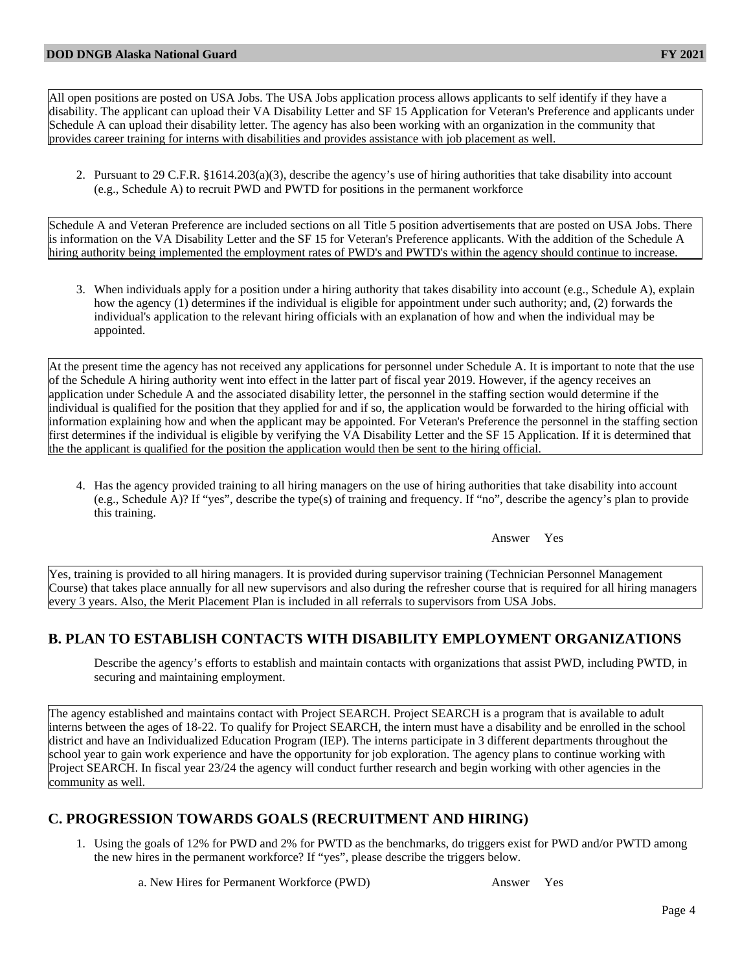All open positions are posted on USA Jobs. The USA Jobs application process allows applicants to self identify if they have a disability. The applicant can upload their VA Disability Letter and SF 15 Application for Veteran's Preference and applicants under Schedule A can upload their disability letter. The agency has also been working with an organization in the community that provides career training for interns with disabilities and provides assistance with job placement as well.

2. Pursuant to 29 C.F.R. §1614.203(a)(3), describe the agency's use of hiring authorities that take disability into account (e.g., Schedule A) to recruit PWD and PWTD for positions in the permanent workforce

Schedule A and Veteran Preference are included sections on all Title 5 position advertisements that are posted on USA Jobs. There is information on the VA Disability Letter and the SF 15 for Veteran's Preference applicants. With the addition of the Schedule A hiring authority being implemented the employment rates of PWD's and PWTD's within the agency should continue to increase.

3. When individuals apply for a position under a hiring authority that takes disability into account (e.g., Schedule A), explain how the agency (1) determines if the individual is eligible for appointment under such authority; and, (2) forwards the individual's application to the relevant hiring officials with an explanation of how and when the individual may be appointed.

At the present time the agency has not received any applications for personnel under Schedule A. It is important to note that the use of the Schedule A hiring authority went into effect in the latter part of fiscal year 2019. However, if the agency receives an application under Schedule A and the associated disability letter, the personnel in the staffing section would determine if the individual is qualified for the position that they applied for and if so, the application would be forwarded to the hiring official with information explaining how and when the applicant may be appointed. For Veteran's Preference the personnel in the staffing section first determines if the individual is eligible by verifying the VA Disability Letter and the SF 15 Application. If it is determined that the the applicant is qualified for the position the application would then be sent to the hiring official.

4. Has the agency provided training to all hiring managers on the use of hiring authorities that take disability into account (e.g., Schedule A)? If "yes", describe the type(s) of training and frequency. If "no", describe the agency's plan to provide this training.

Answer Yes

Yes, training is provided to all hiring managers. It is provided during supervisor training (Technician Personnel Management Course) that takes place annually for all new supervisors and also during the refresher course that is required for all hiring managers every 3 years. Also, the Merit Placement Plan is included in all referrals to supervisors from USA Jobs.

## **B. PLAN TO ESTABLISH CONTACTS WITH DISABILITY EMPLOYMENT ORGANIZATIONS**

Describe the agency's efforts to establish and maintain contacts with organizations that assist PWD, including PWTD, in securing and maintaining employment.

The agency established and maintains contact with Project SEARCH. Project SEARCH is a program that is available to adult interns between the ages of 18-22. To qualify for Project SEARCH, the intern must have a disability and be enrolled in the school district and have an Individualized Education Program (IEP). The interns participate in 3 different departments throughout the school year to gain work experience and have the opportunity for job exploration. The agency plans to continue working with Project SEARCH. In fiscal year 23/24 the agency will conduct further research and begin working with other agencies in the community as well.

## **C. PROGRESSION TOWARDS GOALS (RECRUITMENT AND HIRING)**

1. Using the goals of 12% for PWD and 2% for PWTD as the benchmarks, do triggers exist for PWD and/or PWTD among the new hires in the permanent workforce? If "yes", please describe the triggers below.

a. New Hires for Permanent Workforce (PWD) Answer Yes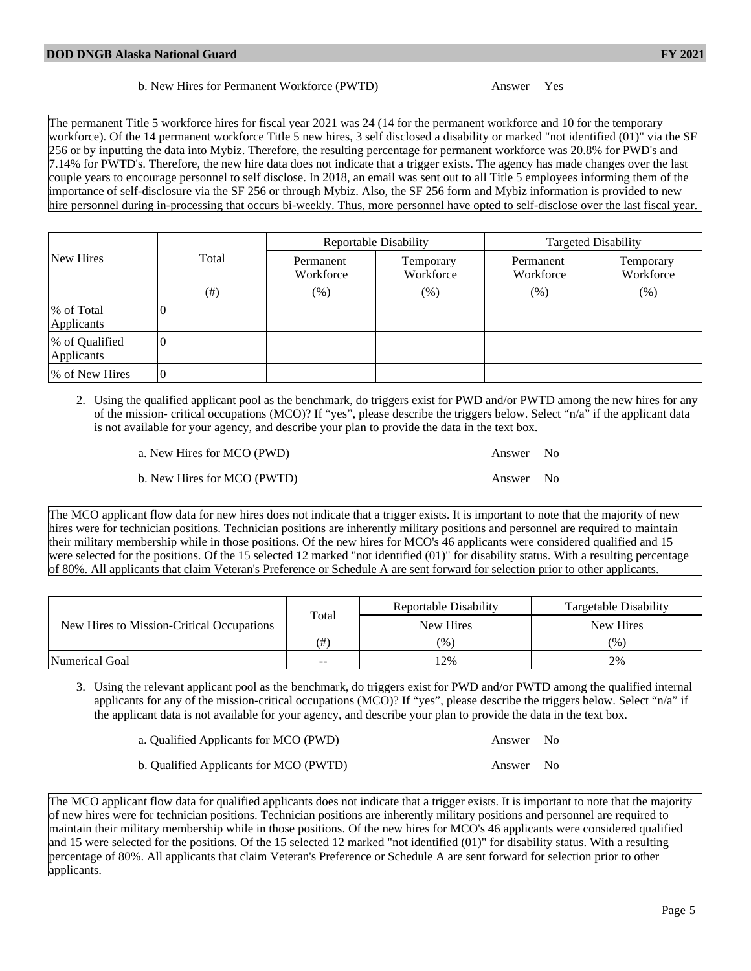The permanent Title 5 workforce hires for fiscal year 2021 was 24 (14 for the permanent workforce and 10 for the temporary workforce). Of the 14 permanent workforce Title 5 new hires, 3 self disclosed a disability or marked "not identified (01)" via the SF 256 or by inputting the data into Mybiz. Therefore, the resulting percentage for permanent workforce was 20.8% for PWD's and 7.14% for PWTD's. Therefore, the new hire data does not indicate that a trigger exists. The agency has made changes over the last couple years to encourage personnel to self disclose. In 2018, an email was sent out to all Title 5 employees informing them of the importance of self-disclosure via the SF 256 or through Mybiz. Also, the SF 256 form and Mybiz information is provided to new hire personnel during in-processing that occurs bi-weekly. Thus, more personnel have opted to self-disclose over the last fiscal year.

|                              |          |                        | Reportable Disability  | <b>Targeted Disability</b> |                        |  |
|------------------------------|----------|------------------------|------------------------|----------------------------|------------------------|--|
| New Hires                    | Total    | Permanent<br>Workforce | Temporary<br>Workforce | Permanent<br>Workforce     | Temporary<br>Workforce |  |
|                              | (# )     | $(\% )$                | $(\%)$                 | $(\%)$                     | (% )                   |  |
| % of Total<br>Applicants     | U        |                        |                        |                            |                        |  |
| % of Qualified<br>Applicants | $\theta$ |                        |                        |                            |                        |  |
| % of New Hires               | $\theta$ |                        |                        |                            |                        |  |

2. Using the qualified applicant pool as the benchmark, do triggers exist for PWD and/or PWTD among the new hires for any of the mission- critical occupations (MCO)? If "yes", please describe the triggers below. Select "n/a" if the applicant data is not available for your agency, and describe your plan to provide the data in the text box.

| a. New Hires for MCO (PWD)  | Answer No |  |
|-----------------------------|-----------|--|
| b. New Hires for MCO (PWTD) | Answer No |  |

The MCO applicant flow data for new hires does not indicate that a trigger exists. It is important to note that the majority of new hires were for technician positions. Technician positions are inherently military positions and personnel are required to maintain their military membership while in those positions. Of the new hires for MCO's 46 applicants were considered qualified and 15 were selected for the positions. Of the 15 selected 12 marked "not identified (01)" for disability status. With a resulting percentage of 80%. All applicants that claim Veteran's Preference or Schedule A are sent forward for selection prior to other applicants.

| New Hires to Mission-Critical Occupations |                   | Reportable Disability | Targetable Disability |
|-------------------------------------------|-------------------|-----------------------|-----------------------|
|                                           | Total             | New Hires             | New Hires             |
|                                           | (# <sup>1</sup> ) | $(\%)$                | (96)                  |
| Numerical Goal                            | $\sim$ $\sim$     | 12%                   | 2%                    |

3. Using the relevant applicant pool as the benchmark, do triggers exist for PWD and/or PWTD among the qualified internal applicants for any of the mission-critical occupations (MCO)? If "yes", please describe the triggers below. Select "n/a" if the applicant data is not available for your agency, and describe your plan to provide the data in the text box.

| a. Qualified Applicants for MCO (PWD)  | Answer No |  |
|----------------------------------------|-----------|--|
| b. Qualified Applicants for MCO (PWTD) | Answer No |  |

The MCO applicant flow data for qualified applicants does not indicate that a trigger exists. It is important to note that the majority of new hires were for technician positions. Technician positions are inherently military positions and personnel are required to maintain their military membership while in those positions. Of the new hires for MCO's 46 applicants were considered qualified and 15 were selected for the positions. Of the 15 selected 12 marked "not identified (01)" for disability status. With a resulting percentage of 80%. All applicants that claim Veteran's Preference or Schedule A are sent forward for selection prior to other applicants.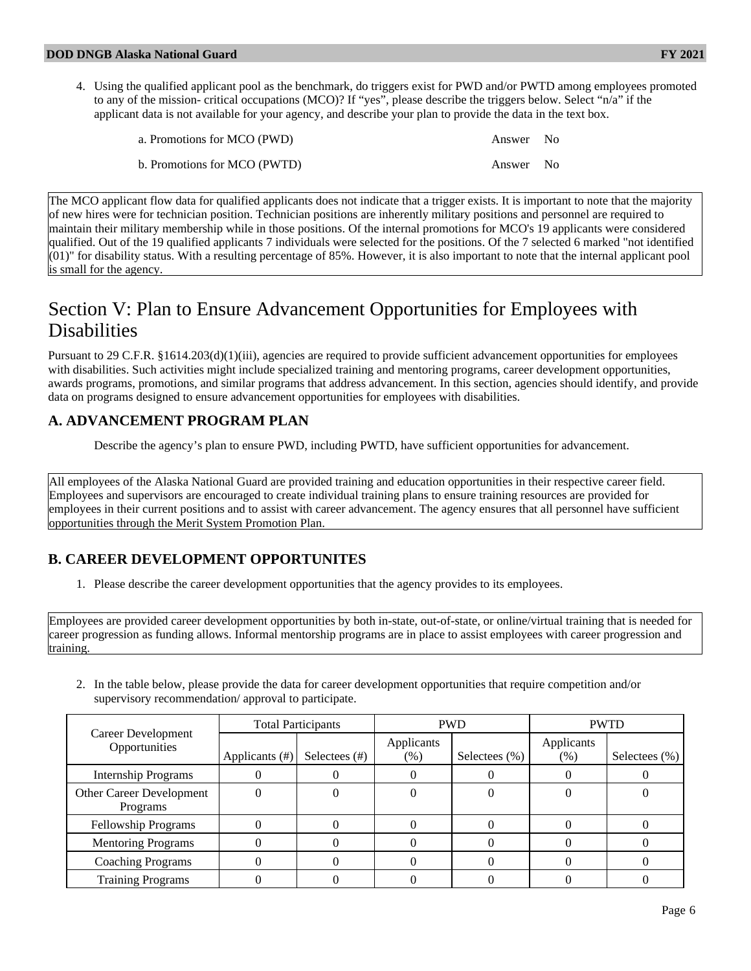4. Using the qualified applicant pool as the benchmark, do triggers exist for PWD and/or PWTD among employees promoted to any of the mission- critical occupations (MCO)? If "yes", please describe the triggers below. Select "n/a" if the applicant data is not available for your agency, and describe your plan to provide the data in the text box.

| a. Promotions for MCO (PWD)  | Answer No |  |
|------------------------------|-----------|--|
| b. Promotions for MCO (PWTD) | Answer No |  |

The MCO applicant flow data for qualified applicants does not indicate that a trigger exists. It is important to note that the majority of new hires were for technician position. Technician positions are inherently military positions and personnel are required to maintain their military membership while in those positions. Of the internal promotions for MCO's 19 applicants were considered qualified. Out of the 19 qualified applicants 7 individuals were selected for the positions. Of the 7 selected 6 marked "not identified (01)" for disability status. With a resulting percentage of 85%. However, it is also important to note that the internal applicant pool is small for the agency.

# Section V: Plan to Ensure Advancement Opportunities for Employees with **Disabilities**

Pursuant to 29 C.F.R. §1614.203(d)(1)(iii), agencies are required to provide sufficient advancement opportunities for employees with disabilities. Such activities might include specialized training and mentoring programs, career development opportunities, awards programs, promotions, and similar programs that address advancement. In this section, agencies should identify, and provide data on programs designed to ensure advancement opportunities for employees with disabilities.

## **A. ADVANCEMENT PROGRAM PLAN**

Describe the agency's plan to ensure PWD, including PWTD, have sufficient opportunities for advancement.

All employees of the Alaska National Guard are provided training and education opportunities in their respective career field. Employees and supervisors are encouraged to create individual training plans to ensure training resources are provided for employees in their current positions and to assist with career advancement. The agency ensures that all personnel have sufficient opportunities through the Merit System Promotion Plan.

## **B. CAREER DEVELOPMENT OPPORTUNITES**

1. Please describe the career development opportunities that the agency provides to its employees.

Employees are provided career development opportunities by both in-state, out-of-state, or online/virtual training that is needed for career progression as funding allows. Informal mentorship programs are in place to assist employees with career progression and training.

- Career Development **Opportunities** Total Participants  $PWD$  PWD PWTD Applicants  $(\#)$  Selectees  $(\#)$  Applicants  $(\%)$  Selectees  $(\%)$  Applicants  $(\%)$  | Selectees  $(\%)$ Internship Programs  $\begin{array}{|c|c|c|c|c|c|c|c|} \hline 0 & 0 & 0 & 0 & 0 \ \hline \end{array}$ Other Career Development Programs  $0 \qquad \qquad 0 \qquad \qquad 0 \qquad \qquad 0 \qquad \qquad 0 \qquad \qquad 0 \qquad \qquad 0$ Fellowship Programs  $\begin{array}{|c|c|c|c|c|c|c|c|c|} \hline 0 & 0 & 0 & 0 & 0 \ \hline \end{array}$ Mentoring Programs  $\begin{array}{|c|c|c|c|c|c|c|c|c|} \hline 0 & 0 & 0 & 0 & 0 \ \hline \end{array}$ Coaching Programs 0 0 0 0 0 0 Training Programs  $\begin{array}{|c|c|c|c|c|c|c|c|} \hline 0 & 0 & 0 & 0 & 0 \ \hline \end{array}$
- 2. In the table below, please provide the data for career development opportunities that require competition and/or supervisory recommendation/ approval to participate.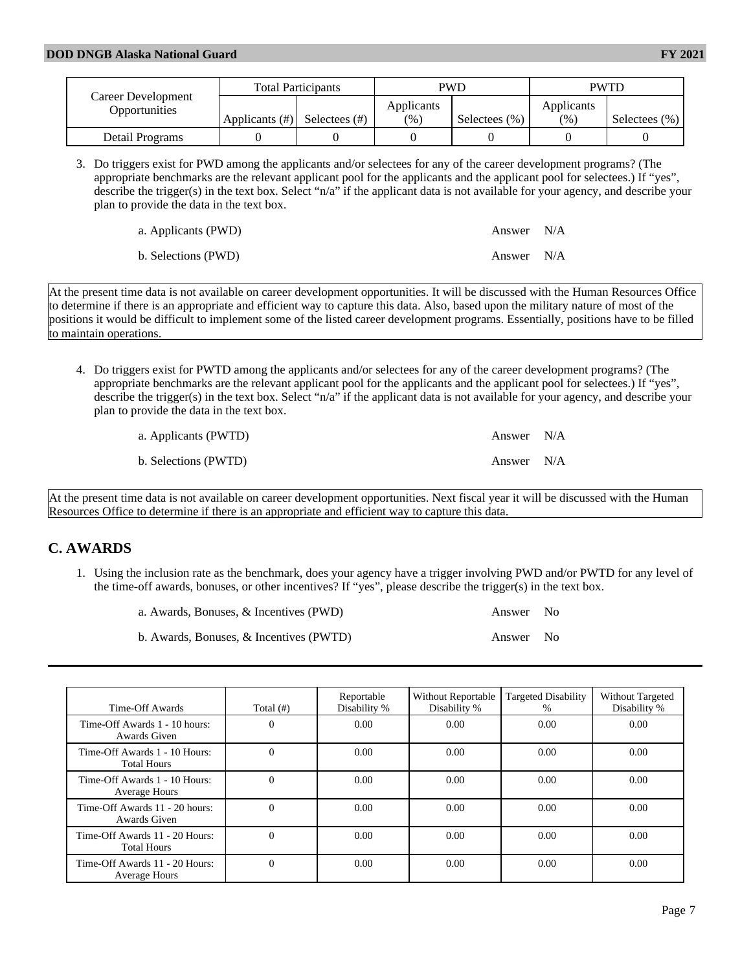|                                     | <b>Total Participants</b> |               | <b>PWD</b> |                   | <b>PWTD</b> |                   |
|-------------------------------------|---------------------------|---------------|------------|-------------------|-------------|-------------------|
| Career Development<br>Opportunities |                           |               | Applicants |                   | Applicants  |                   |
|                                     | Applicants $(\#)$         | Selectees (#) | (%)        | Selectees $(\% )$ | (%)         | Selectees $(\% )$ |
| Detail Programs                     |                           |               |            |                   |             |                   |

3. Do triggers exist for PWD among the applicants and/or selectees for any of the career development programs? (The appropriate benchmarks are the relevant applicant pool for the applicants and the applicant pool for selectees.) If "yes", describe the trigger(s) in the text box. Select "n/a" if the applicant data is not available for your agency, and describe your plan to provide the data in the text box.

| a. Applicants (PWD) | Answer N/A |  |
|---------------------|------------|--|
| b. Selections (PWD) | Answer N/A |  |

At the present time data is not available on career development opportunities. It will be discussed with the Human Resources Office to determine if there is an appropriate and efficient way to capture this data. Also, based upon the military nature of most of the positions it would be difficult to implement some of the listed career development programs. Essentially, positions have to be filled to maintain operations.

4. Do triggers exist for PWTD among the applicants and/or selectees for any of the career development programs? (The appropriate benchmarks are the relevant applicant pool for the applicants and the applicant pool for selectees.) If "yes", describe the trigger(s) in the text box. Select "n/a" if the applicant data is not available for your agency, and describe your plan to provide the data in the text box.

| a. Applicants (PWTD) | Answer N/A |  |
|----------------------|------------|--|
| b. Selections (PWTD) | Answer N/A |  |

At the present time data is not available on career development opportunities. Next fiscal year it will be discussed with the Human Resources Office to determine if there is an appropriate and efficient way to capture this data.

#### **C. AWARDS**

1. Using the inclusion rate as the benchmark, does your agency have a trigger involving PWD and/or PWTD for any level of the time-off awards, bonuses, or other incentives? If "yes", please describe the trigger(s) in the text box.

| a. Awards, Bonuses, & Incentives (PWD)  | Answer No |                |
|-----------------------------------------|-----------|----------------|
| b. Awards, Bonuses, & Incentives (PWTD) | Answer    | N <sub>0</sub> |

| Time-Off Awards                                      | Total $(\#)$ | Reportable<br>Disability % | <b>Without Reportable</b><br>Disability % | Targeted Disability<br>$\%$ | Without Targeted<br>Disability % |
|------------------------------------------------------|--------------|----------------------------|-------------------------------------------|-----------------------------|----------------------------------|
| Time-Off Awards 1 - 10 hours:<br>Awards Given        | $\Omega$     | 0.00                       | 0.00                                      | 0.00                        | 0.00                             |
| Time-Off Awards 1 - 10 Hours:<br><b>Total Hours</b>  | $\Omega$     | 0.00                       | 0.00                                      | 0.00                        | 0.00                             |
| Time-Off Awards 1 - 10 Hours:<br>Average Hours       | $\Omega$     | 0.00                       | 0.00                                      | 0.00                        | 0.00                             |
| Time-Off Awards 11 - 20 hours:<br>Awards Given       | $\Omega$     | 0.00                       | 0.00                                      | 0.00                        | 0.00                             |
| Time-Off Awards 11 - 20 Hours:<br><b>Total Hours</b> | $\Omega$     | 0.00                       | 0.00                                      | 0.00                        | 0.00                             |
| Time-Off Awards 11 - 20 Hours:<br>Average Hours      | $\Omega$     | 0.00                       | 0.00                                      | 0.00                        | 0.00                             |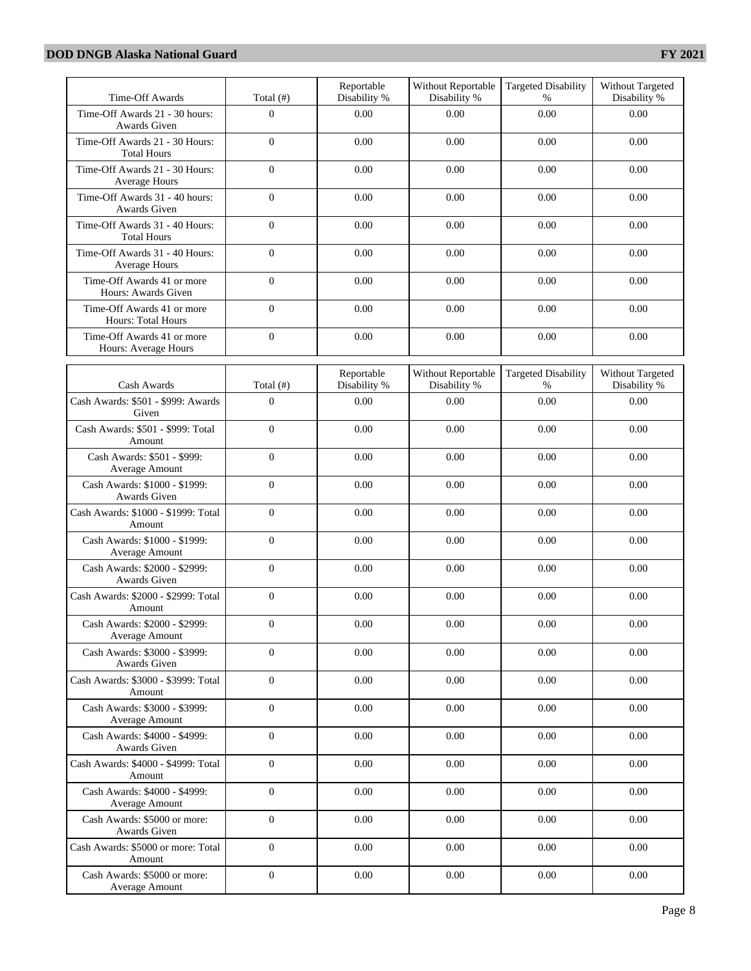| Time-Off Awards                                         | Total $(f#)$     | Reportable<br>Disability % | Without Reportable<br>Disability % | <b>Targeted Disability</b><br>$\%$ | Without Targeted<br>Disability % |
|---------------------------------------------------------|------------------|----------------------------|------------------------------------|------------------------------------|----------------------------------|
| Time-Off Awards 21 - 30 hours:<br>Awards Given          | $\overline{0}$   | 0.00                       | 0.00                               | 0.00                               | 0.00                             |
| Time-Off Awards 21 - 30 Hours:<br><b>Total Hours</b>    | $\overline{0}$   | 0.00                       | 0.00                               | 0.00                               | 0.00                             |
| Time-Off Awards 21 - 30 Hours:<br>Average Hours         | $\boldsymbol{0}$ | 0.00                       | 0.00                               | 0.00                               | 0.00                             |
| Time-Off Awards 31 - 40 hours:<br>Awards Given          | $\boldsymbol{0}$ | 0.00                       | 0.00                               | 0.00                               | 0.00                             |
| Time-Off Awards 31 - 40 Hours:<br><b>Total Hours</b>    | $\overline{0}$   | 0.00                       | 0.00                               | 0.00                               | 0.00                             |
| Time-Off Awards 31 - 40 Hours:<br>Average Hours         | $\overline{0}$   | 0.00                       | 0.00                               | 0.00                               | 0.00                             |
| Time-Off Awards 41 or more<br>Hours: Awards Given       | $\overline{0}$   | 0.00                       | 0.00                               | 0.00                               | 0.00                             |
| Time-Off Awards 41 or more<br><b>Hours: Total Hours</b> | $\overline{0}$   | 0.00                       | 0.00                               | 0.00                               | 0.00                             |
| Time-Off Awards 41 or more<br>Hours: Average Hours      | $\overline{0}$   | 0.00                       | 0.00                               | 0.00                               | 0.00                             |
| Cash Awards                                             | Total $($ # $)$  | Reportable<br>Disability % | Without Reportable<br>Disability % | <b>Targeted Disability</b><br>%    | Without Targeted<br>Disability % |
| Cash Awards: \$501 - \$999: Awards<br>Given             | $\boldsymbol{0}$ | 0.00                       | 0.00                               | 0.00                               | 0.00                             |
| Cash Awards: \$501 - \$999: Total<br>Amount             | $\overline{0}$   | 0.00                       | 0.00                               | 0.00                               | 0.00                             |
| Cash Awards: \$501 - \$999:<br>Average Amount           | $\overline{0}$   | 0.00                       | 0.00                               | 0.00                               | 0.00                             |
| Cash Awards: \$1000 - \$1999:<br>Awards Given           | $\overline{0}$   | 0.00                       | 0.00                               | 0.00                               | 0.00                             |
| Cash Awards: \$1000 - \$1999: Total<br>Amount           | $\overline{0}$   | 0.00                       | 0.00                               | 0.00                               | 0.00                             |
| Cash Awards: \$1000 - \$1999:<br>Average Amount         | $\overline{0}$   | 0.00                       | 0.00                               | 0.00                               | 0.00                             |
| Cash Awards: \$2000 - \$2999:<br>Awards Given           | $\overline{0}$   | 0.00                       | 0.00                               | 0.00                               | 0.00                             |
| Cash Awards: \$2000 - \$2999: Total<br>Amount           | $\overline{0}$   | 0.00                       | 0.00                               | 0.00                               | 0.00                             |
| Cash Awards: \$2000 - \$2999:<br>Average Amount         | $\overline{0}$   | 0.00                       | 0.00                               | 0.00                               | 0.00                             |
| Cash Awards: \$3000 - \$3999:<br>Awards Given           | $\overline{0}$   | 0.00                       | 0.00                               | 0.00                               | 0.00                             |
| Cash Awards: \$3000 - \$3999: Total<br>Amount           | $\overline{0}$   | 0.00                       | 0.00                               | 0.00                               | 0.00                             |
| Cash Awards: \$3000 - \$3999:<br>Average Amount         | $\overline{0}$   | 0.00                       | 0.00                               | 0.00                               | 0.00                             |
| Cash Awards: \$4000 - \$4999:<br>Awards Given           | $\boldsymbol{0}$ | 0.00                       | 0.00                               | 0.00                               | 0.00                             |
| Cash Awards: \$4000 - \$4999: Total<br>Amount           | $\mathbf{0}$     | 0.00                       | 0.00                               | 0.00                               | 0.00                             |
| Cash Awards: \$4000 - \$4999:<br>Average Amount         | $\overline{0}$   | 0.00                       | 0.00                               | 0.00                               | 0.00                             |
| Cash Awards: \$5000 or more:<br>Awards Given            | $\overline{0}$   | 0.00                       | 0.00                               | 0.00                               | 0.00                             |
| Cash Awards: \$5000 or more: Total<br>Amount            | $\mathbf{0}$     | 0.00                       | 0.00                               | 0.00                               | 0.00                             |
| Cash Awards: \$5000 or more:<br>Average Amount          | $\boldsymbol{0}$ | 0.00                       | $0.00\,$                           | $0.00\,$                           | 0.00                             |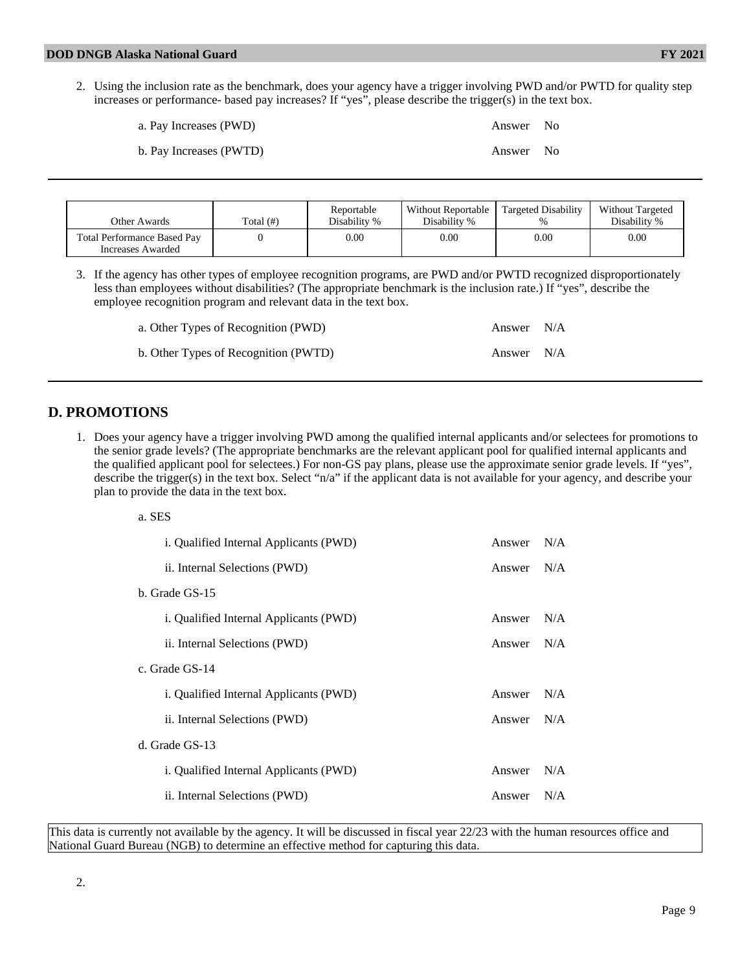| a. Pay Increases (PWD)  | Answer No |  |
|-------------------------|-----------|--|
| b. Pay Increases (PWTD) | Answer No |  |

| Other Awards                                            | Total $(\#)$ | Reportable<br>Disability % | Without Reportable<br>Disability % | Targeted Disability | <b>Without Targeted</b><br>Disability % |
|---------------------------------------------------------|--------------|----------------------------|------------------------------------|---------------------|-----------------------------------------|
| <b>Total Performance Based Pay</b><br>Increases Awarded |              | 0.00                       | 0.00                               | $0.00\,$            | 0.00                                    |

3. If the agency has other types of employee recognition programs, are PWD and/or PWTD recognized disproportionately less than employees without disabilities? (The appropriate benchmark is the inclusion rate.) If "yes", describe the employee recognition program and relevant data in the text box.

| a. Other Types of Recognition (PWD)  | Answer $N/A$ |  |
|--------------------------------------|--------------|--|
| b. Other Types of Recognition (PWTD) | Answer N/A   |  |

#### **D. PROMOTIONS**

1. Does your agency have a trigger involving PWD among the qualified internal applicants and/or selectees for promotions to the senior grade levels? (The appropriate benchmarks are the relevant applicant pool for qualified internal applicants and the qualified applicant pool for selectees.) For non-GS pay plans, please use the approximate senior grade levels. If "yes", describe the trigger(s) in the text box. Select "n/a" if the applicant data is not available for your agency, and describe your plan to provide the data in the text box.

a. SES

| i. Qualified Internal Applicants (PWD) | Answer | N/A |
|----------------------------------------|--------|-----|
| ii. Internal Selections (PWD)          | Answer | N/A |
| b. Grade GS-15                         |        |     |
| i. Qualified Internal Applicants (PWD) | Answer | N/A |
| ii. Internal Selections (PWD)          | Answer | N/A |
| c. Grade GS-14                         |        |     |
| i. Qualified Internal Applicants (PWD) | Answer | N/A |
| ii. Internal Selections (PWD)          | Answer | N/A |
| d. Grade GS-13                         |        |     |
| i. Qualified Internal Applicants (PWD) | Answer | N/A |
| ii. Internal Selections (PWD)          | Answer | N/A |
|                                        |        |     |

This data is currently not available by the agency. It will be discussed in fiscal year 22/23 with the human resources office and National Guard Bureau (NGB) to determine an effective method for capturing this data.

2.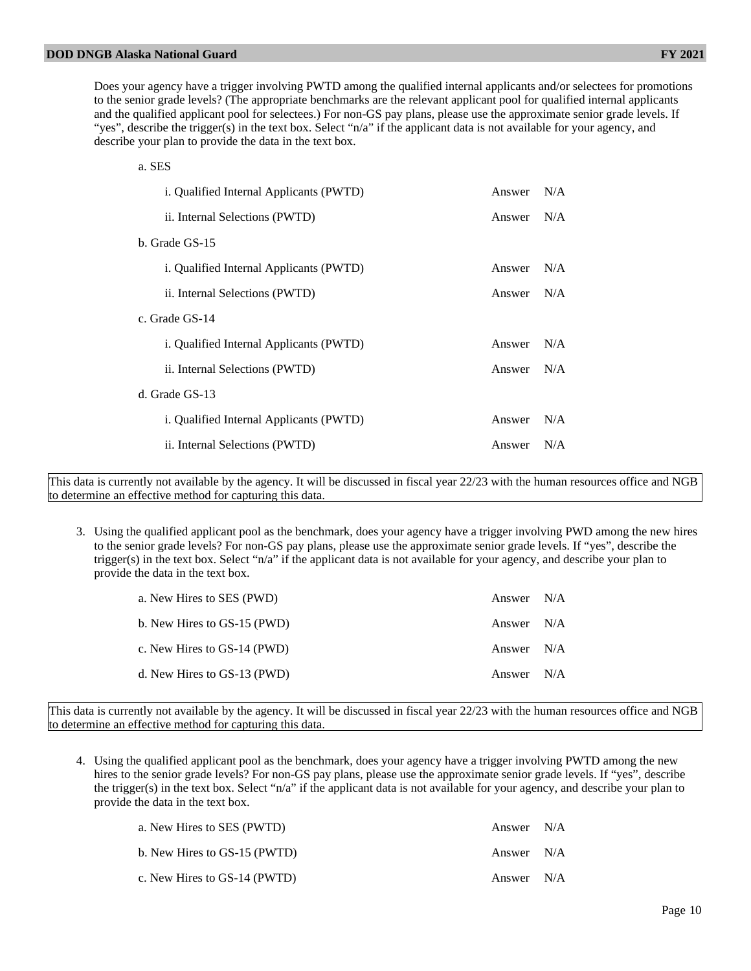Does your agency have a trigger involving PWTD among the qualified internal applicants and/or selectees for promotions to the senior grade levels? (The appropriate benchmarks are the relevant applicant pool for qualified internal applicants and the qualified applicant pool for selectees.) For non-GS pay plans, please use the approximate senior grade levels. If "yes", describe the trigger(s) in the text box. Select "n/a" if the applicant data is not available for your agency, and describe your plan to provide the data in the text box.

| a. SES                                         |        |     |
|------------------------------------------------|--------|-----|
| <i>i.</i> Qualified Internal Applicants (PWTD) | Answer | N/A |
| ii. Internal Selections (PWTD)                 | Answer | N/A |
| b. Grade GS-15                                 |        |     |
| <i>i.</i> Qualified Internal Applicants (PWTD) | Answer | N/A |
| ii. Internal Selections (PWTD)                 | Answer | N/A |
| c. Grade GS-14                                 |        |     |
| <i>i.</i> Qualified Internal Applicants (PWTD) | Answer | N/A |
| ii. Internal Selections (PWTD)                 | Answer | N/A |
| d. Grade GS-13                                 |        |     |
| <i>i.</i> Qualified Internal Applicants (PWTD) | Answer | N/A |
| ii. Internal Selections (PWTD)                 | Answer | N/A |
|                                                |        |     |

This data is currently not available by the agency. It will be discussed in fiscal year 22/23 with the human resources office and NGB to determine an effective method for capturing this data.

3. Using the qualified applicant pool as the benchmark, does your agency have a trigger involving PWD among the new hires to the senior grade levels? For non-GS pay plans, please use the approximate senior grade levels. If "yes", describe the trigger(s) in the text box. Select "n/a" if the applicant data is not available for your agency, and describe your plan to provide the data in the text box.

| a. New Hires to SES (PWD)   | Answer N/A |  |
|-----------------------------|------------|--|
| b. New Hires to GS-15 (PWD) | Answer N/A |  |
| c. New Hires to GS-14 (PWD) | Answer N/A |  |
| d. New Hires to GS-13 (PWD) | Answer N/A |  |

This data is currently not available by the agency. It will be discussed in fiscal year 22/23 with the human resources office and NGB to determine an effective method for capturing this data.

4. Using the qualified applicant pool as the benchmark, does your agency have a trigger involving PWTD among the new hires to the senior grade levels? For non-GS pay plans, please use the approximate senior grade levels. If "yes", describe the trigger(s) in the text box. Select "n/a" if the applicant data is not available for your agency, and describe your plan to provide the data in the text box.

| a. New Hires to SES (PWTD)   | Answer N/A |  |
|------------------------------|------------|--|
| b. New Hires to GS-15 (PWTD) | Answer N/A |  |
| c. New Hires to GS-14 (PWTD) | Answer N/A |  |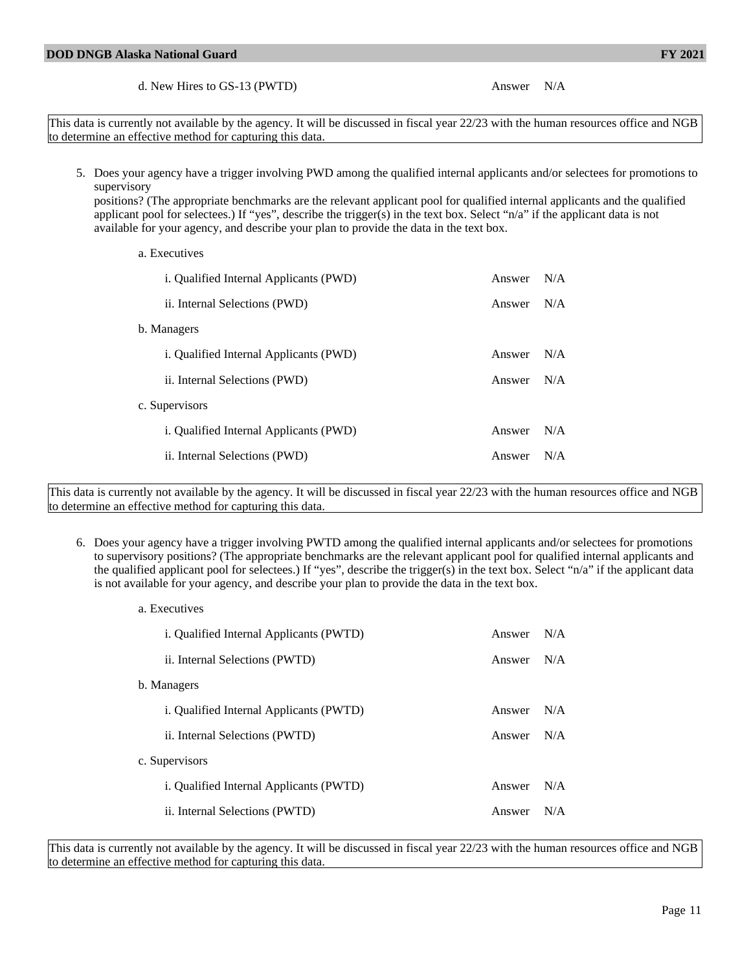d. New Hires to GS-13 (PWTD) Answer N/A

This data is currently not available by the agency. It will be discussed in fiscal year 22/23 with the human resources office and NGB to determine an effective method for capturing this data.

5. Does your agency have a trigger involving PWD among the qualified internal applicants and/or selectees for promotions to supervisory

positions? (The appropriate benchmarks are the relevant applicant pool for qualified internal applicants and the qualified applicant pool for selectees.) If "yes", describe the trigger(s) in the text box. Select "n/a" if the applicant data is not available for your agency, and describe your plan to provide the data in the text box.

a. Executives

| <i>i.</i> Qualified Internal Applicants (PWD) | Answer | N/A |
|-----------------------------------------------|--------|-----|
| ii. Internal Selections (PWD)                 | Answer | N/A |
| b. Managers                                   |        |     |
| <i>i.</i> Qualified Internal Applicants (PWD) | Answer | N/A |
| ii. Internal Selections (PWD)                 | Answer | N/A |
| c. Supervisors                                |        |     |
| <i>i.</i> Qualified Internal Applicants (PWD) | Answer | N/A |
| ii. Internal Selections (PWD)                 | Answer | N/A |

This data is currently not available by the agency. It will be discussed in fiscal year 22/23 with the human resources office and NGB to determine an effective method for capturing this data.

6. Does your agency have a trigger involving PWTD among the qualified internal applicants and/or selectees for promotions to supervisory positions? (The appropriate benchmarks are the relevant applicant pool for qualified internal applicants and the qualified applicant pool for selectees.) If "yes", describe the trigger(s) in the text box. Select "n/a" if the applicant data is not available for your agency, and describe your plan to provide the data in the text box.

| a. Executives                           |        |     |
|-----------------------------------------|--------|-----|
| i. Qualified Internal Applicants (PWTD) | Answer | N/A |
| ii. Internal Selections (PWTD)          | Answer | N/A |
| b. Managers                             |        |     |
| i. Qualified Internal Applicants (PWTD) | Answer | N/A |
| ii. Internal Selections (PWTD)          | Answer | N/A |
| c. Supervisors                          |        |     |
| i. Qualified Internal Applicants (PWTD) | Answer | N/A |
| ii. Internal Selections (PWTD)          | Answer | N/A |

This data is currently not available by the agency. It will be discussed in fiscal year 22/23 with the human resources office and NGB to determine an effective method for capturing this data.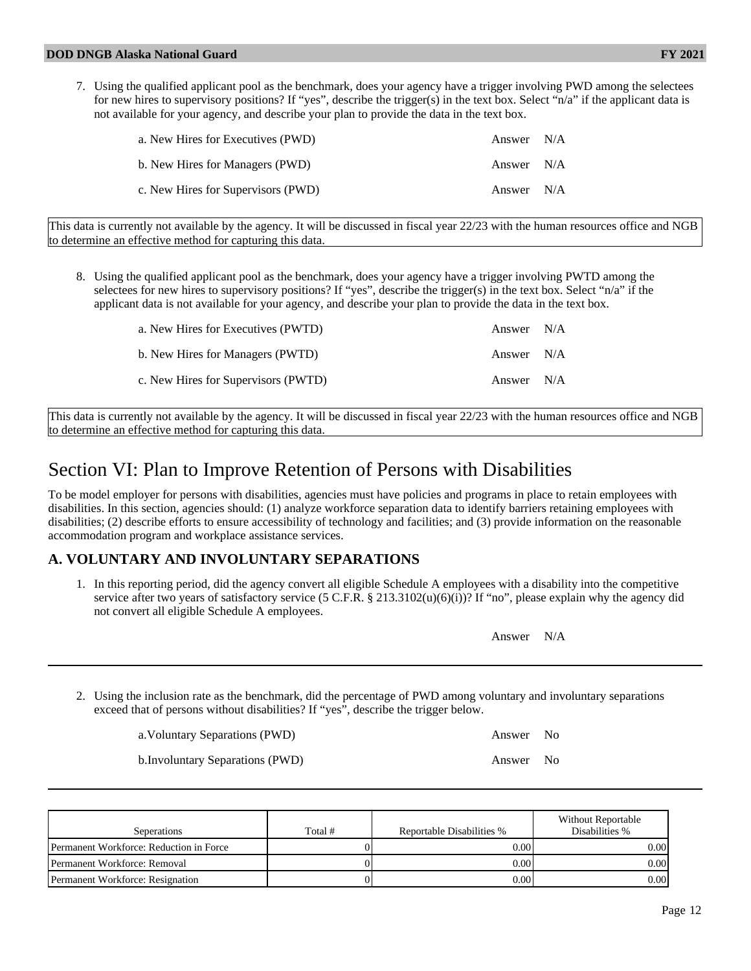7. Using the qualified applicant pool as the benchmark, does your agency have a trigger involving PWD among the selectees for new hires to supervisory positions? If "yes", describe the trigger(s) in the text box. Select "n/a" if the applicant data is not available for your agency, and describe your plan to provide the data in the text box.

| a. New Hires for Executives (PWD)  | Answer $N/A$ |  |
|------------------------------------|--------------|--|
| b. New Hires for Managers (PWD)    | Answer N/A   |  |
| c. New Hires for Supervisors (PWD) | Answer N/A   |  |

This data is currently not available by the agency. It will be discussed in fiscal year 22/23 with the human resources office and NGB to determine an effective method for capturing this data.

8. Using the qualified applicant pool as the benchmark, does your agency have a trigger involving PWTD among the selectees for new hires to supervisory positions? If "yes", describe the trigger(s) in the text box. Select "n/a" if the applicant data is not available for your agency, and describe your plan to provide the data in the text box.

| a. New Hires for Executives (PWTD)  | Answer N/A |  |
|-------------------------------------|------------|--|
| b. New Hires for Managers (PWTD)    | Answer N/A |  |
| c. New Hires for Supervisors (PWTD) | Answer N/A |  |

This data is currently not available by the agency. It will be discussed in fiscal year 22/23 with the human resources office and NGB to determine an effective method for capturing this data.

# Section VI: Plan to Improve Retention of Persons with Disabilities

To be model employer for persons with disabilities, agencies must have policies and programs in place to retain employees with disabilities. In this section, agencies should: (1) analyze workforce separation data to identify barriers retaining employees with disabilities; (2) describe efforts to ensure accessibility of technology and facilities; and (3) provide information on the reasonable accommodation program and workplace assistance services.

## **A. VOLUNTARY AND INVOLUNTARY SEPARATIONS**

1. In this reporting period, did the agency convert all eligible Schedule A employees with a disability into the competitive service after two years of satisfactory service  $(5 \text{ C.F.R.} \text{ § } 213.3102(u)(6)(i))$ ? If "no", please explain why the agency did not convert all eligible Schedule A employees.

| Answer | N/A |
|--------|-----|
|--------|-----|

2. Using the inclusion rate as the benchmark, did the percentage of PWD among voluntary and involuntary separations exceed that of persons without disabilities? If "yes", describe the trigger below.

a. Voluntary Separations (PWD) Answer No

b.Involuntary Separations (PWD) Answer No

Seperations Total # Reportable Disabilities % Without Reportable Disabilities % Permanent Workforce: Reduction in Force  $\begin{array}{ccc} \vert & 0 \vert & 0 \end{array}$  0.00 0.00 0.00 Permanent Workforce: Removal 0 0.00 0.00 Permanent Workforce: Resignation  $\begin{array}{ccc} | & 0 & 0 \\ \hline \end{array}$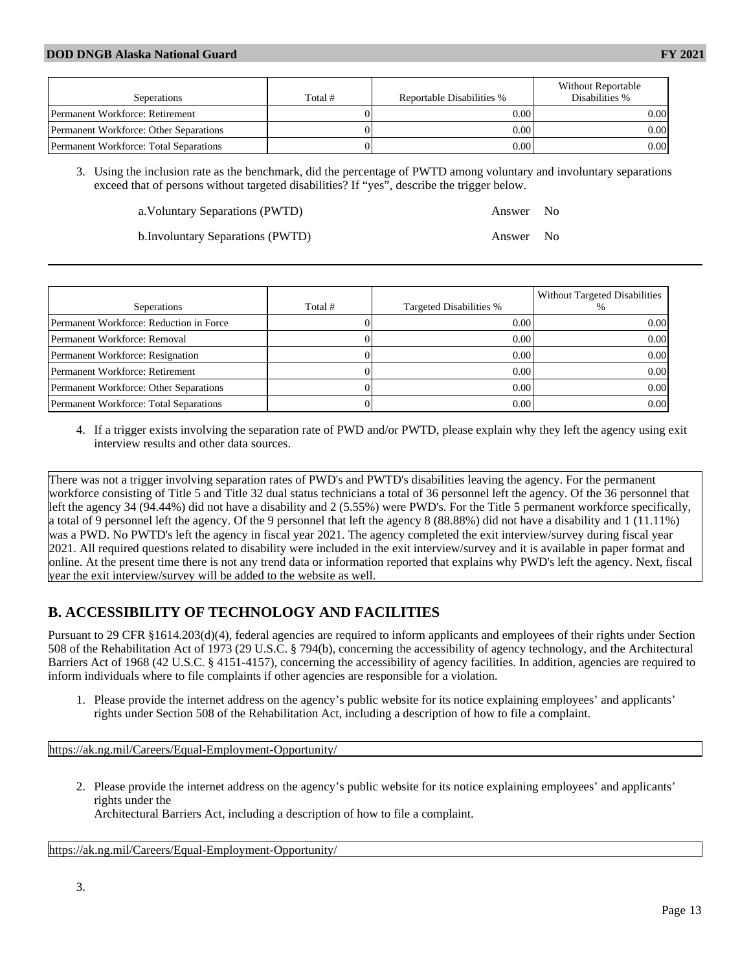| Seperations                                   | Total # | Reportable Disabilities % | Without Reportable<br>Disabilities % |
|-----------------------------------------------|---------|---------------------------|--------------------------------------|
| Permanent Workforce: Retirement               |         | 0.001                     | 0.00                                 |
| <b>Permanent Workforce: Other Separations</b> |         | 0.001                     | 0.00                                 |
| <b>Permanent Workforce: Total Separations</b> |         | 0.00                      | $0.00\,$                             |

3. Using the inclusion rate as the benchmark, did the percentage of PWTD among voluntary and involuntary separations exceed that of persons without targeted disabilities? If "yes", describe the trigger below.

a.Voluntary Separations (PWTD) Answer No

b.Involuntary Separations (PWTD) Answer No

| Seperations                             | Total # | Targeted Disabilities % | Without Targeted Disabilities |
|-----------------------------------------|---------|-------------------------|-------------------------------|
| Permanent Workforce: Reduction in Force |         | 0.00                    | 0.001                         |
| Permanent Workforce: Removal            |         | 0.00                    | 0.00 <sub>l</sub>             |
| Permanent Workforce: Resignation        |         | 0.00                    | 0.001                         |
| Permanent Workforce: Retirement         |         | 0.00                    | 0.001                         |
| Permanent Workforce: Other Separations  |         | 0.00                    | 0.00 <sub>l</sub>             |
| Permanent Workforce: Total Separations  |         | 0.00                    | 0.001                         |

4. If a trigger exists involving the separation rate of PWD and/or PWTD, please explain why they left the agency using exit interview results and other data sources.

There was not a trigger involving separation rates of PWD's and PWTD's disabilities leaving the agency. For the permanent workforce consisting of Title 5 and Title 32 dual status technicians a total of 36 personnel left the agency. Of the 36 personnel that left the agency 34 (94.44%) did not have a disability and 2 (5.55%) were PWD's. For the Title 5 permanent workforce specifically, a total of 9 personnel left the agency. Of the 9 personnel that left the agency 8 (88.88%) did not have a disability and 1 (11.11%) was a PWD. No PWTD's left the agency in fiscal year 2021. The agency completed the exit interview/survey during fiscal year 2021. All required questions related to disability were included in the exit interview/survey and it is available in paper format and online. At the present time there is not any trend data or information reported that explains why PWD's left the agency. Next, fiscal year the exit interview/survey will be added to the website as well.

## **B. ACCESSIBILITY OF TECHNOLOGY AND FACILITIES**

Pursuant to 29 CFR §1614.203(d)(4), federal agencies are required to inform applicants and employees of their rights under Section 508 of the Rehabilitation Act of 1973 (29 U.S.C. § 794(b), concerning the accessibility of agency technology, and the Architectural Barriers Act of 1968 (42 U.S.C. § 4151-4157), concerning the accessibility of agency facilities. In addition, agencies are required to inform individuals where to file complaints if other agencies are responsible for a violation.

1. Please provide the internet address on the agency's public website for its notice explaining employees' and applicants' rights under Section 508 of the Rehabilitation Act, including a description of how to file a complaint.

<https://ak.ng.mil/Careers/Equal-Employment-Opportunity/>

2. Please provide the internet address on the agency's public website for its notice explaining employees' and applicants' rights under the

Architectural Barriers Act, including a description of how to file a complaint.

<https://ak.ng.mil/Careers/Equal-Employment-Opportunity/>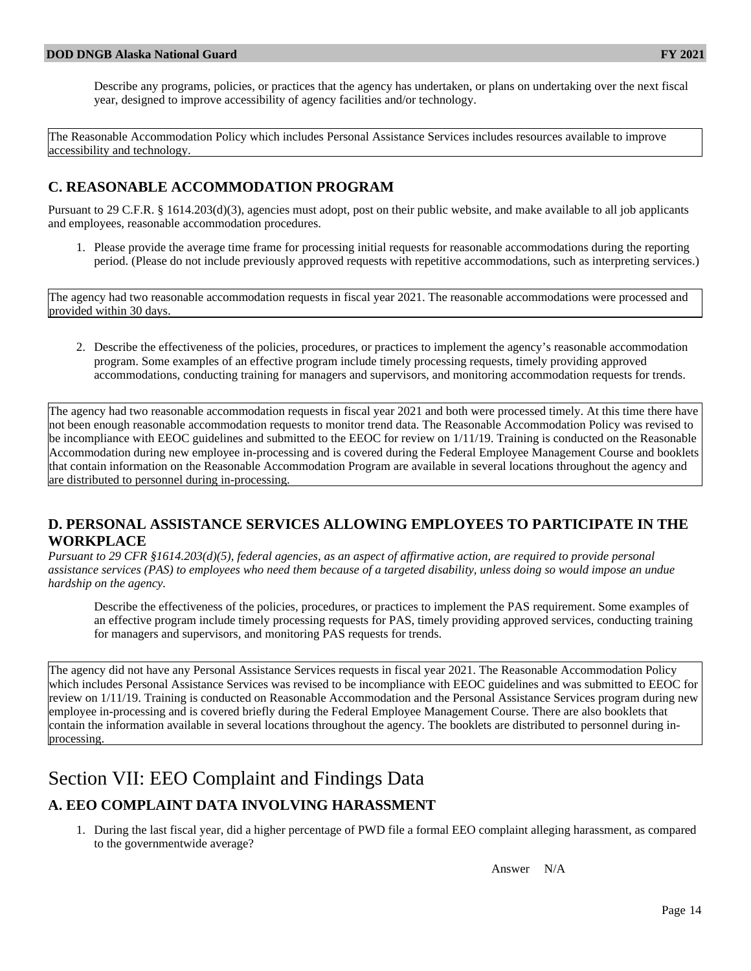Describe any programs, policies, or practices that the agency has undertaken, or plans on undertaking over the next fiscal year, designed to improve accessibility of agency facilities and/or technology.

The Reasonable Accommodation Policy which includes Personal Assistance Services includes resources available to improve accessibility and technology.

#### **C. REASONABLE ACCOMMODATION PROGRAM**

Pursuant to 29 C.F.R. § 1614.203(d)(3), agencies must adopt, post on their public website, and make available to all job applicants and employees, reasonable accommodation procedures.

1. Please provide the average time frame for processing initial requests for reasonable accommodations during the reporting period. (Please do not include previously approved requests with repetitive accommodations, such as interpreting services.)

The agency had two reasonable accommodation requests in fiscal year 2021. The reasonable accommodations were processed and provided within 30 days.

2. Describe the effectiveness of the policies, procedures, or practices to implement the agency's reasonable accommodation program. Some examples of an effective program include timely processing requests, timely providing approved accommodations, conducting training for managers and supervisors, and monitoring accommodation requests for trends.

The agency had two reasonable accommodation requests in fiscal year 2021 and both were processed timely. At this time there have not been enough reasonable accommodation requests to monitor trend data. The Reasonable Accommodation Policy was revised to be incompliance with EEOC guidelines and submitted to the EEOC for review on 1/11/19. Training is conducted on the Reasonable Accommodation during new employee in-processing and is covered during the Federal Employee Management Course and booklets that contain information on the Reasonable Accommodation Program are available in several locations throughout the agency and are distributed to personnel during in-processing.

#### **D. PERSONAL ASSISTANCE SERVICES ALLOWING EMPLOYEES TO PARTICIPATE IN THE WORKPLACE**

*Pursuant to 29 CFR §1614.203(d)(5), federal agencies, as an aspect of affirmative action, are required to provide personal assistance services (PAS) to employees who need them because of a targeted disability, unless doing so would impose an undue hardship on the agency.*

Describe the effectiveness of the policies, procedures, or practices to implement the PAS requirement. Some examples of an effective program include timely processing requests for PAS, timely providing approved services, conducting training for managers and supervisors, and monitoring PAS requests for trends.

The agency did not have any Personal Assistance Services requests in fiscal year 2021. The Reasonable Accommodation Policy which includes Personal Assistance Services was revised to be incompliance with EEOC guidelines and was submitted to EEOC for review on 1/11/19. Training is conducted on Reasonable Accommodation and the Personal Assistance Services program during new employee in-processing and is covered briefly during the Federal Employee Management Course. There are also booklets that contain the information available in several locations throughout the agency. The booklets are distributed to personnel during inprocessing.

# Section VII: EEO Complaint and Findings Data

## **A. EEO COMPLAINT DATA INVOLVING HARASSMENT**

1. During the last fiscal year, did a higher percentage of PWD file a formal EEO complaint alleging harassment, as compared to the governmentwide average?

Answer N/A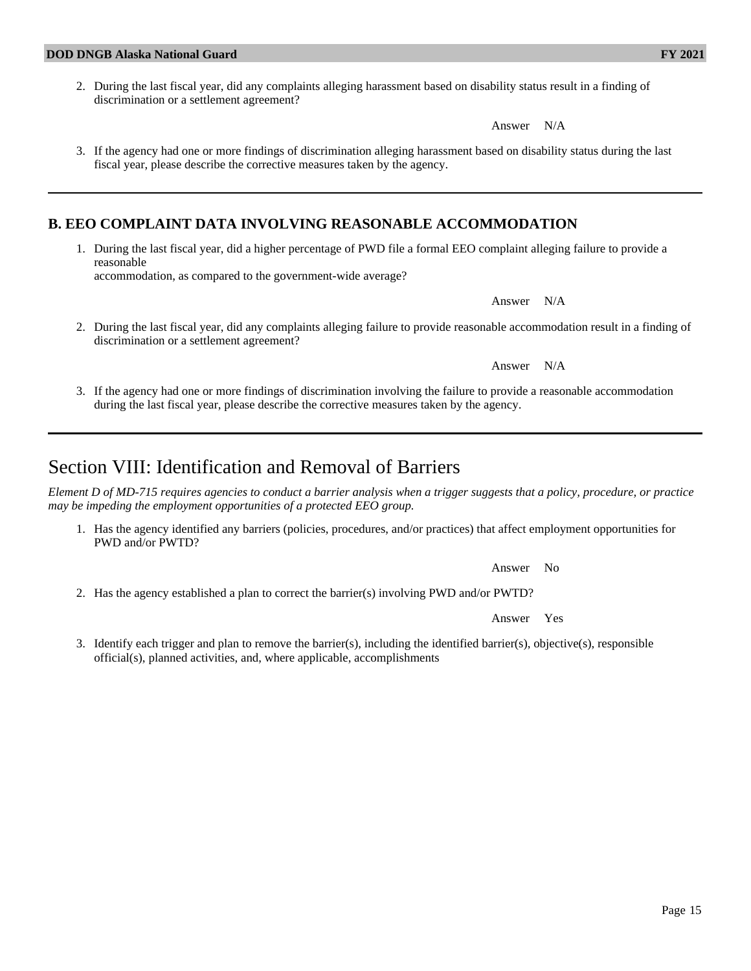2. During the last fiscal year, did any complaints alleging harassment based on disability status result in a finding of discrimination or a settlement agreement?

Answer N/A

3. If the agency had one or more findings of discrimination alleging harassment based on disability status during the last fiscal year, please describe the corrective measures taken by the agency.

#### **B. EEO COMPLAINT DATA INVOLVING REASONABLE ACCOMMODATION**

1. During the last fiscal year, did a higher percentage of PWD file a formal EEO complaint alleging failure to provide a reasonable accommodation, as compared to the government-wide average?

2. During the last fiscal year, did any complaints alleging failure to provide reasonable accommodation result in a finding of discrimination or a settlement agreement?

Answer N/A

3. If the agency had one or more findings of discrimination involving the failure to provide a reasonable accommodation during the last fiscal year, please describe the corrective measures taken by the agency.

## Section VIII: Identification and Removal of Barriers

*Element D of MD-715 requires agencies to conduct a barrier analysis when a trigger suggests that a policy, procedure, or practice may be impeding the employment opportunities of a protected EEO group.*

1. Has the agency identified any barriers (policies, procedures, and/or practices) that affect employment opportunities for PWD and/or PWTD?

Answer No

2. Has the agency established a plan to correct the barrier(s) involving PWD and/or PWTD?

Answer Yes

3. Identify each trigger and plan to remove the barrier(s), including the identified barrier(s), objective(s), responsible official(s), planned activities, and, where applicable, accomplishments

Answer N/A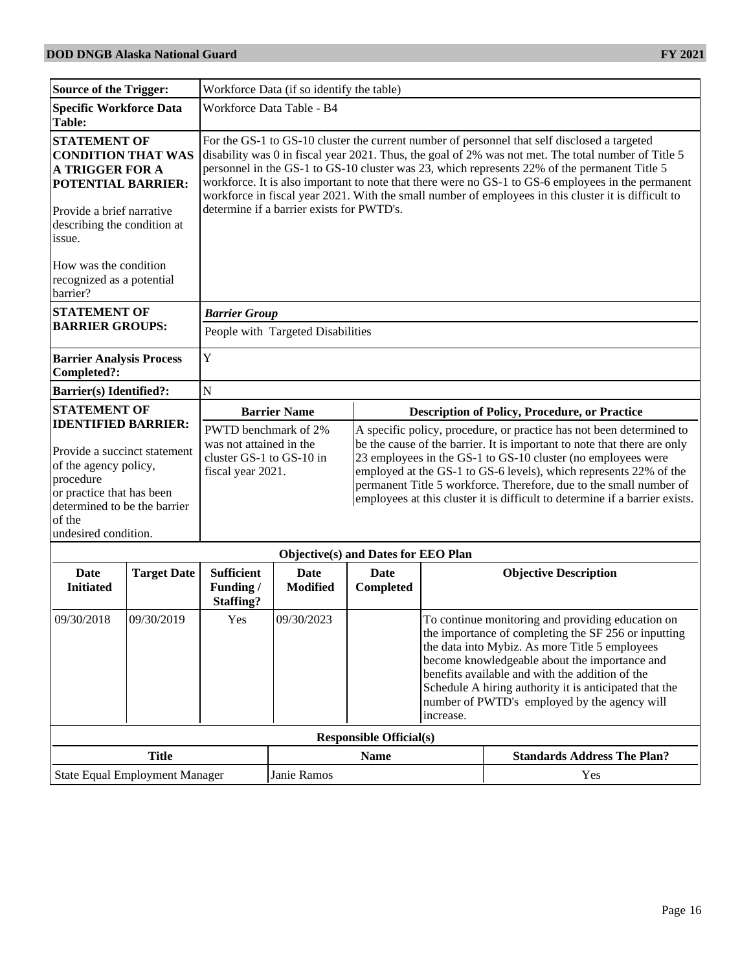| <b>Source of the Trigger:</b>                                                                                                                                                                   | Workforce Data (if so identify the table)                                                                                                                                                                                                                                                                                                                                                                                                                                                                                                                      |                                                                                                                                                                                                                                                                                                                                                                                                                                            |  |  |
|-------------------------------------------------------------------------------------------------------------------------------------------------------------------------------------------------|----------------------------------------------------------------------------------------------------------------------------------------------------------------------------------------------------------------------------------------------------------------------------------------------------------------------------------------------------------------------------------------------------------------------------------------------------------------------------------------------------------------------------------------------------------------|--------------------------------------------------------------------------------------------------------------------------------------------------------------------------------------------------------------------------------------------------------------------------------------------------------------------------------------------------------------------------------------------------------------------------------------------|--|--|
| <b>Specific Workforce Data</b><br>Table:                                                                                                                                                        | Workforce Data Table - B4                                                                                                                                                                                                                                                                                                                                                                                                                                                                                                                                      |                                                                                                                                                                                                                                                                                                                                                                                                                                            |  |  |
| <b>STATEMENT OF</b><br><b>CONDITION THAT WAS</b><br><b>A TRIGGER FOR A</b><br><b>POTENTIAL BARRIER:</b><br>Provide a brief narrative<br>describing the condition at<br>issue.                   | For the GS-1 to GS-10 cluster the current number of personnel that self disclosed a targeted<br>disability was 0 in fiscal year 2021. Thus, the goal of 2% was not met. The total number of Title 5<br>personnel in the GS-1 to GS-10 cluster was 23, which represents 22% of the permanent Title 5<br>workforce. It is also important to note that there were no GS-1 to GS-6 employees in the permanent<br>workforce in fiscal year 2021. With the small number of employees in this cluster it is difficult to<br>determine if a barrier exists for PWTD's. |                                                                                                                                                                                                                                                                                                                                                                                                                                            |  |  |
| How was the condition<br>recognized as a potential<br>barrier?                                                                                                                                  |                                                                                                                                                                                                                                                                                                                                                                                                                                                                                                                                                                |                                                                                                                                                                                                                                                                                                                                                                                                                                            |  |  |
| <b>STATEMENT OF</b>                                                                                                                                                                             | <b>Barrier Group</b>                                                                                                                                                                                                                                                                                                                                                                                                                                                                                                                                           |                                                                                                                                                                                                                                                                                                                                                                                                                                            |  |  |
| <b>BARRIER GROUPS:</b>                                                                                                                                                                          | People with Targeted Disabilities                                                                                                                                                                                                                                                                                                                                                                                                                                                                                                                              |                                                                                                                                                                                                                                                                                                                                                                                                                                            |  |  |
| <b>Barrier Analysis Process</b><br>Completed?:                                                                                                                                                  | Y                                                                                                                                                                                                                                                                                                                                                                                                                                                                                                                                                              |                                                                                                                                                                                                                                                                                                                                                                                                                                            |  |  |
| <b>Barrier(s)</b> Identified?:                                                                                                                                                                  | $\mathbf N$                                                                                                                                                                                                                                                                                                                                                                                                                                                                                                                                                    |                                                                                                                                                                                                                                                                                                                                                                                                                                            |  |  |
| <b>STATEMENT OF</b>                                                                                                                                                                             | <b>Barrier Name</b>                                                                                                                                                                                                                                                                                                                                                                                                                                                                                                                                            | <b>Description of Policy, Procedure, or Practice</b>                                                                                                                                                                                                                                                                                                                                                                                       |  |  |
| <b>IDENTIFIED BARRIER:</b><br>Provide a succinct statement<br>of the agency policy,<br>procedure<br>or practice that has been<br>determined to be the barrier<br>of the<br>undesired condition. | PWTD benchmark of 2%<br>was not attained in the<br>cluster GS-1 to GS-10 in<br>fiscal year 2021.                                                                                                                                                                                                                                                                                                                                                                                                                                                               | A specific policy, procedure, or practice has not been determined to<br>be the cause of the barrier. It is important to note that there are only<br>23 employees in the GS-1 to GS-10 cluster (no employees were<br>employed at the GS-1 to GS-6 levels), which represents 22% of the<br>permanent Title 5 workforce. Therefore, due to the small number of<br>employees at this cluster it is difficult to determine if a barrier exists. |  |  |
|                                                                                                                                                                                                 |                                                                                                                                                                                                                                                                                                                                                                                                                                                                                                                                                                | Objective(s) and Dates for EEO Plan                                                                                                                                                                                                                                                                                                                                                                                                        |  |  |

| $\sigma$ <sub>r</sub> $\sigma$ <sub>r</sub> $\sigma$ <sub>r</sub> $\sigma$ <sub>r</sub> $\sigma$ <sub>r</sub> $\sigma$ <sub>r</sub> $\sigma$ <sub>r</sub> $\sigma$ <sub>r</sub> $\sigma$ <sup>r</sup> $\sigma$ <sup>r</sup> $\sigma$ |                                |                                            |                         |                   |                                                                                                                                                                                                                                                                                                                                                                                        |                                    |
|--------------------------------------------------------------------------------------------------------------------------------------------------------------------------------------------------------------------------------------|--------------------------------|--------------------------------------------|-------------------------|-------------------|----------------------------------------------------------------------------------------------------------------------------------------------------------------------------------------------------------------------------------------------------------------------------------------------------------------------------------------------------------------------------------------|------------------------------------|
| Date<br><b>Initiated</b>                                                                                                                                                                                                             | <b>Target Date</b>             | <b>Sufficient</b><br>Funding/<br>Staffing? | Date<br><b>Modified</b> | Date<br>Completed |                                                                                                                                                                                                                                                                                                                                                                                        | <b>Objective Description</b>       |
| 09/30/2018                                                                                                                                                                                                                           | 09/30/2019                     | <b>Yes</b>                                 | 09/30/2023              |                   | To continue monitoring and providing education on<br>the importance of completing the SF 256 or inputting<br>the data into Mybiz. As more Title 5 employees<br>become knowledgeable about the importance and<br>benefits available and with the addition of the<br>Schedule A hiring authority it is anticipated that the<br>number of PWTD's employed by the agency will<br>increase. |                                    |
| <b>Responsible Official(s)</b>                                                                                                                                                                                                       |                                |                                            |                         |                   |                                                                                                                                                                                                                                                                                                                                                                                        |                                    |
|                                                                                                                                                                                                                                      | <b>Title</b>                   |                                            |                         | <b>Name</b>       |                                                                                                                                                                                                                                                                                                                                                                                        | <b>Standards Address The Plan?</b> |
|                                                                                                                                                                                                                                      | State Equal Employment Manager |                                            | Janie Ramos             |                   |                                                                                                                                                                                                                                                                                                                                                                                        | Yes                                |